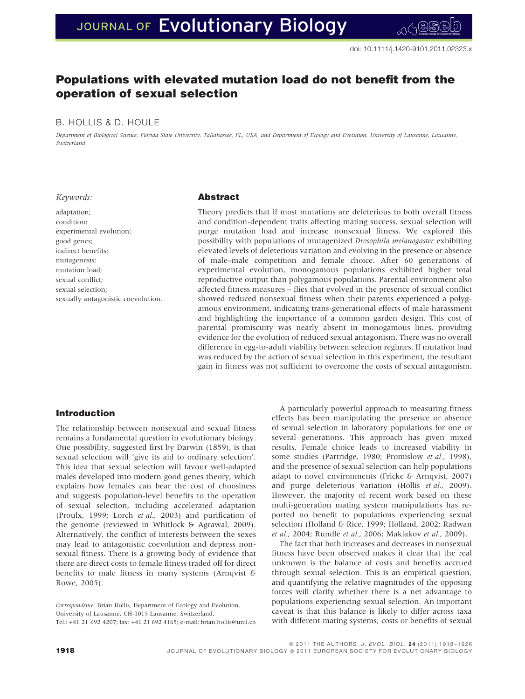# Populations with elevated mutation load do not benefit from the operation of sexual selection

# B. HOLLIS & D. HOULE

Department of Biological Science, Florida State University, Tallahassee, FL, USA, and Department of Ecology and Evolution, University of Lausanne, Lausanne, Switzerland

#### Keywords:

adaptation; condition; experimental evolution; good genes; indirect benefits; mutagenesis; mutation load; sexual conflict; sexual selection; sexually antagonistic coevolution.

## Abstract

Theory predicts that if most mutations are deleterious to both overall fitness and condition-dependent traits affecting mating success, sexual selection will purge mutation load and increase nonsexual fitness. We explored this possibility with populations of mutagenized Drosophila melanogaster exhibiting elevated levels of deleterious variation and evolving in the presence or absence of male–male competition and female choice. After 60 generations of experimental evolution, monogamous populations exhibited higher total reproductive output than polygamous populations. Parental environment also affected fitness measures – flies that evolved in the presence of sexual conflict showed reduced nonsexual fitness when their parents experienced a polygamous environment, indicating trans-generational effects of male harassment and highlighting the importance of a common garden design. This cost of parental promiscuity was nearly absent in monogamous lines, providing evidence for the evolution of reduced sexual antagonism. There was no overall difference in egg-to-adult viability between selection regimes. If mutation load was reduced by the action of sexual selection in this experiment, the resultant gain in fitness was not sufficient to overcome the costs of sexual antagonism.

## Introduction

The relationship between nonsexual and sexual fitness remains a fundamental question in evolutionary biology. One possibility, suggested first by Darwin (1859), is that sexual selection will 'give its aid to ordinary selection'. This idea that sexual selection will favour well-adapted males developed into modern good genes theory, which explains how females can bear the cost of choosiness and suggests population-level benefits to the operation of sexual selection, including accelerated adaptation (Proulx, 1999; Lorch et al., 2003) and purification of the genome (reviewed in Whitlock & Agrawal, 2009). Alternatively, the conflict of interests between the sexes may lead to antagonistic coevolution and depress nonsexual fitness. There is a growing body of evidence that there are direct costs to female fitness traded off for direct benefits to male fitness in many systems (Arnqvist  $\delta$ Rowe, 2005).

Correspondence: Brian Hollis, Department of Ecology and Evolution, University of Lausanne, CH-1015 Lausanne, Switzerland. Tel.: +41 21 692 4207; fax: +41 21 692 4165; e-mail: brian.hollis@unil.ch

A particularly powerful approach to measuring fitness effects has been manipulating the presence or absence of sexual selection in laboratory populations for one or several generations. This approach has given mixed results. Female choice leads to increased viability in some studies (Partridge, 1980; Promislow et al., 1998), and the presence of sexual selection can help populations adapt to novel environments (Fricke & Arnqvist, 2007) and purge deleterious variation (Hollis et al., 2009). However, the majority of recent work based on these multi-generation mating system manipulations has reported no benefit to populations experiencing sexual selection (Holland & Rice, 1999; Holland, 2002; Radwan et al., 2004; Rundle et al., 2006; Maklakov et al., 2009).

The fact that both increases and decreases in nonsexual fitness have been observed makes it clear that the real unknown is the balance of costs and benefits accrued through sexual selection. This is an empirical question, and quantifying the relative magnitudes of the opposing forces will clarify whether there is a net advantage to populations experiencing sexual selection. An important caveat is that this balance is likely to differ across taxa with different mating systems; costs or benefits of sexual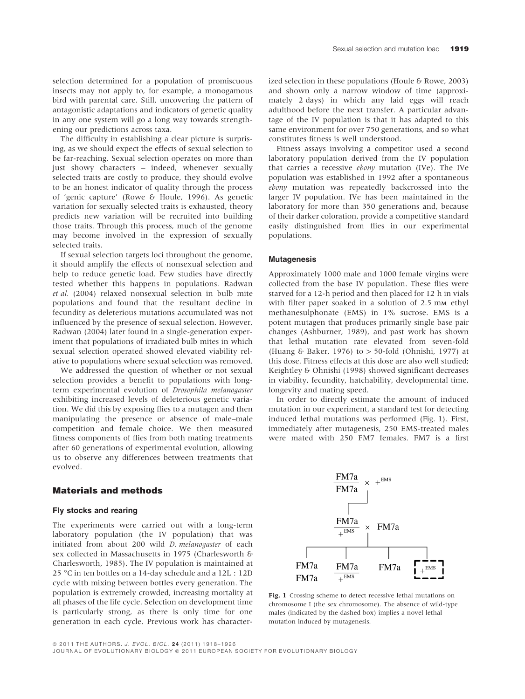selection determined for a population of promiscuous insects may not apply to, for example, a monogamous bird with parental care. Still, uncovering the pattern of antagonistic adaptations and indicators of genetic quality in any one system will go a long way towards strengthening our predictions across taxa.

The difficulty in establishing a clear picture is surprising, as we should expect the effects of sexual selection to be far-reaching. Sexual selection operates on more than just showy characters – indeed, whenever sexually selected traits are costly to produce, they should evolve to be an honest indicator of quality through the process of 'genic capture' (Rowe & Houle, 1996). As genetic variation for sexually selected traits is exhausted, theory predicts new variation will be recruited into building those traits. Through this process, much of the genome may become involved in the expression of sexually selected traits.

If sexual selection targets loci throughout the genome, it should amplify the effects of nonsexual selection and help to reduce genetic load. Few studies have directly tested whether this happens in populations. Radwan et al. (2004) relaxed nonsexual selection in bulb mite populations and found that the resultant decline in fecundity as deleterious mutations accumulated was not influenced by the presence of sexual selection. However, Radwan (2004) later found in a single-generation experiment that populations of irradiated bulb mites in which sexual selection operated showed elevated viability relative to populations where sexual selection was removed.

We addressed the question of whether or not sexual selection provides a benefit to populations with longterm experimental evolution of Drosophila melanogaster exhibiting increased levels of deleterious genetic variation. We did this by exposing flies to a mutagen and then manipulating the presence or absence of male–male competition and female choice. We then measured fitness components of flies from both mating treatments after 60 generations of experimental evolution, allowing us to observe any differences between treatments that evolved.

## Materials and methods

#### Fly stocks and rearing

The experiments were carried out with a long-term laboratory population (the IV population) that was initiated from about 200 wild D. melanogaster of each sex collected in Massachusetts in 1975 (Charlesworth & Charlesworth, 1985). The IV population is maintained at 25 °C in ten bottles on a 14-day schedule and a 12L : 12D cycle with mixing between bottles every generation. The population is extremely crowded, increasing mortality at all phases of the life cycle. Selection on development time is particularly strong, as there is only time for one generation in each cycle. Previous work has characterized selection in these populations (Houle & Rowe, 2003) and shown only a narrow window of time (approximately 2 days) in which any laid eggs will reach adulthood before the next transfer. A particular advantage of the IV population is that it has adapted to this same environment for over 750 generations, and so what constitutes fitness is well understood.

Fitness assays involving a competitor used a second laboratory population derived from the IV population that carries a recessive ebony mutation (IVe). The IVe population was established in 1992 after a spontaneous ebony mutation was repeatedly backcrossed into the larger IV population. IVe has been maintained in the laboratory for more than 350 generations and, because of their darker coloration, provide a competitive standard easily distinguished from flies in our experimental populations.

#### **Mutagenesis**

Approximately 1000 male and 1000 female virgins were collected from the base IV population. These flies were starved for a 12-h period and then placed for 12 h in vials with filter paper soaked in a solution of 2.5 mm ethyl methanesulphonate (EMS) in 1% sucrose. EMS is a potent mutagen that produces primarily single base pair changes (Ashburner, 1989), and past work has shown that lethal mutation rate elevated from seven-fold (Huang & Baker, 1976) to > 50-fold (Ohnishi, 1977) at this dose. Fitness effects at this dose are also well studied; Keightley & Ohnishi (1998) showed significant decreases in viability, fecundity, hatchability, developmental time, longevity and mating speed.

In order to directly estimate the amount of induced mutation in our experiment, a standard test for detecting induced lethal mutations was performed (Fig. 1). First, immediately after mutagenesis, 250 EMS-treated males were mated with 250 FM7 females. FM7 is a first



Fig. 1 Crossing scheme to detect recessive lethal mutations on chromosome I (the sex chromosome). The absence of wild-type males (indicated by the dashed box) implies a novel lethal mutation induced by mutagenesis.

ª 2011 THE AUTHORS. J. EVOL. BIOL. 2 4 (2011) 1918–1926

JOURNAL OF EVOLUTIONARY BIOLOGY ª 2011 EUROPEAN SOCIETY FOR EVOLUTIONARY BIOLOGY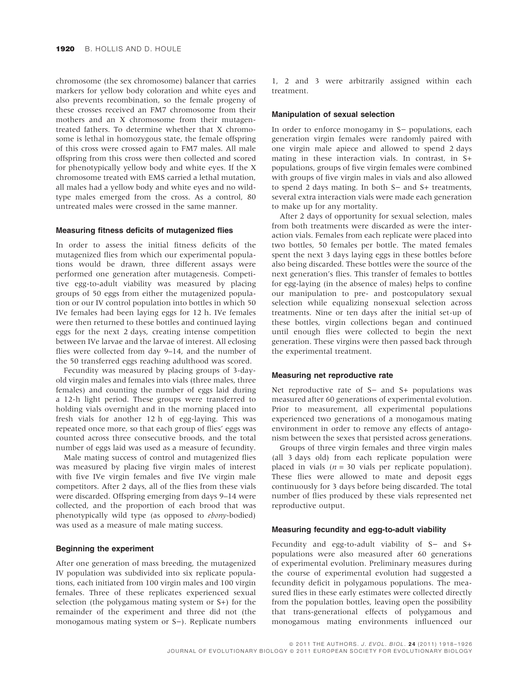chromosome (the sex chromosome) balancer that carries markers for yellow body coloration and white eyes and also prevents recombination, so the female progeny of these crosses received an FM7 chromosome from their mothers and an X chromosome from their mutagentreated fathers. To determine whether that X chromosome is lethal in homozygous state, the female offspring of this cross were crossed again to FM7 males. All male offspring from this cross were then collected and scored for phenotypically yellow body and white eyes. If the X chromosome treated with EMS carried a lethal mutation, all males had a yellow body and white eyes and no wildtype males emerged from the cross. As a control, 80 untreated males were crossed in the same manner.

#### Measuring fitness deficits of mutagenized flies

In order to assess the initial fitness deficits of the mutagenized flies from which our experimental populations would be drawn, three different assays were performed one generation after mutagenesis. Competitive egg-to-adult viability was measured by placing groups of 50 eggs from either the mutagenized population or our IV control population into bottles in which 50 IVe females had been laying eggs for 12 h. IVe females were then returned to these bottles and continued laying eggs for the next 2 days, creating intense competition between IVe larvae and the larvae of interest. All eclosing flies were collected from day 9–14, and the number of the 50 transferred eggs reaching adulthood was scored.

Fecundity was measured by placing groups of 3-dayold virgin males and females into vials (three males, three females) and counting the number of eggs laid during a 12-h light period. These groups were transferred to holding vials overnight and in the morning placed into fresh vials for another 12 h of egg-laying. This was repeated once more, so that each group of flies' eggs was counted across three consecutive broods, and the total number of eggs laid was used as a measure of fecundity.

Male mating success of control and mutagenized flies was measured by placing five virgin males of interest with five IVe virgin females and five IVe virgin male competitors. After 2 days, all of the flies from these vials were discarded. Offspring emerging from days 9–14 were collected, and the proportion of each brood that was phenotypically wild type (as opposed to ebony-bodied) was used as a measure of male mating success.

#### Beginning the experiment

After one generation of mass breeding, the mutagenized IV population was subdivided into six replicate populations, each initiated from 100 virgin males and 100 virgin females. Three of these replicates experienced sexual selection (the polygamous mating system or S+) for the remainder of the experiment and three did not (the monogamous mating system or  $S-$ ). Replicate numbers

1, 2 and 3 were arbitrarily assigned within each treatment.

#### Manipulation of sexual selection

In order to enforce monogamy in S- populations, each generation virgin females were randomly paired with one virgin male apiece and allowed to spend 2 days mating in these interaction vials. In contrast, in S+ populations, groups of five virgin females were combined with groups of five virgin males in vials and also allowed to spend 2 days mating. In both  $S-$  and  $S+$  treatments, several extra interaction vials were made each generation to make up for any mortality.

After 2 days of opportunity for sexual selection, males from both treatments were discarded as were the interaction vials. Females from each replicate were placed into two bottles, 50 females per bottle. The mated females spent the next 3 days laying eggs in these bottles before also being discarded. These bottles were the source of the next generation's flies. This transfer of females to bottles for egg-laying (in the absence of males) helps to confine our manipulation to pre- and postcopulatory sexual selection while equalizing nonsexual selection across treatments. Nine or ten days after the initial set-up of these bottles, virgin collections began and continued until enough flies were collected to begin the next generation. These virgins were then passed back through the experimental treatment.

#### Measuring net reproductive rate

Net reproductive rate of  $S-$  and  $S+$  populations was measured after 60 generations of experimental evolution. Prior to measurement, all experimental populations experienced two generations of a monogamous mating environment in order to remove any effects of antagonism between the sexes that persisted across generations.

Groups of three virgin females and three virgin males (all 3 days old) from each replicate population were placed in vials ( $n = 30$  vials per replicate population). These flies were allowed to mate and deposit eggs continuously for 3 days before being discarded. The total number of flies produced by these vials represented net reproductive output.

#### Measuring fecundity and egg-to-adult viability

Fecundity and egg-to-adult viability of S- and S+ populations were also measured after 60 generations of experimental evolution. Preliminary measures during the course of experimental evolution had suggested a fecundity deficit in polygamous populations. The measured flies in these early estimates were collected directly from the population bottles, leaving open the possibility that trans-generational effects of polygamous and monogamous mating environments influenced our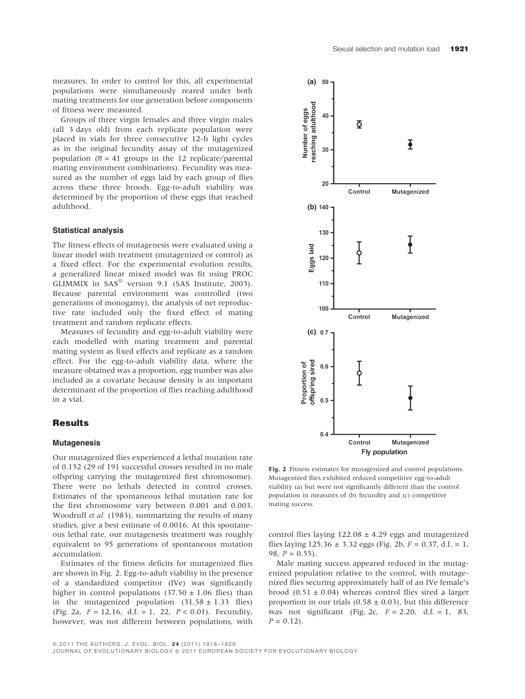measures. In order to control for this, all experimental populations were simultaneously reared under both mating treatments for one generation before components of fitness were measured.

Groups of three virgin females and three virgin males (all 3 days old) from each replicate population were placed in vials for three consecutive 12-h light cycles as in the original fecundity assay of the mutagenized population ( $\overline{n}$  = 41 groups in the 12 replicate/parental mating environment combinations). Fecundity was measured as the number of eggs laid by each group of flies across these three broods. Egg-to-adult viability was determined by the proportion of these eggs that reached adulthood.

#### Statistical analysis

The fitness effects of mutagenesis were evaluated using a linear model with treatment (mutagenized or control) as a fixed effect. For the experimental evolution results, a generalized linear mixed model was fit using PROC GLIMMIX in SAS<sup>ª</sup> version 9.1 (SAS Institute, 2003). Because parental environment was controlled (two generations of monogamy), the analysis of net reproductive rate included only the fixed effect of mating treatment and random replicate effects.

Measures of fecundity and egg-to-adult viability were each modelled with mating treatment and parental mating system as fixed effects and replicate as a random effect. For the egg-to-adult viability data, where the measure obtained was a proportion, egg number was also included as a covariate because density is an important determinant of the proportion of flies reaching adulthood in a vial.

#### Results

#### **Mutagenesis**

Our mutagenized flies experienced a lethal mutation rate of 0.152 (29 of 191 successful crosses resulted in no male offspring carrying the mutagenized first chromosome). There were no lethals detected in control crosses. Estimates of the spontaneous lethal mutation rate for the first chromosome vary between 0.001 and 0.003. Woodruff et al. (1983), summarizing the results of many studies, give a best estimate of 0.0016. At this spontaneous lethal rate, our mutagenesis treatment was roughly equivalent to 95 generations of spontaneous mutation accumulation.

Estimates of the fitness deficits for mutagenized flies are shown in Fig. 2. Egg-to-adult viability in the presence of a standardized competitor (IVe) was significantly higher in control populations  $(37.50 \pm 1.06)$  flies) than in the mutagenized population  $(31.58 \pm 1.33)$  flies) (Fig. 2a,  $F = 12.16$ , d.f. = 1, 22,  $P < 0.01$ ). Fecundity, however, was not different between populations, with



Fig. 2 Fitness estimates for mutagenized and control populations. Mutagenized flies exhibited reduced competitive egg-to-adult viability (a) but were not significantly different than the control population in measures of (b) fecundity and (c) competitive mating success.

control flies laying  $122.08 \pm 4.29$  eggs and mutagenized flies laying  $125.36 \pm 3.32$  eggs (Fig. 2b,  $F = 0.37$ , d.f. = 1, 98,  $P = 0.55$ ).

Male mating success appeared reduced in the mutagenized population relative to the control, with mutagenized flies securing approximately half of an IVe female's brood  $(0.51 \pm 0.04)$  whereas control flies sired a larger proportion in our trials ( $0.58 \pm 0.03$ ), but this difference was not significant (Fig. 2c,  $F = 2.20$ , d.f. = 1, 83,  $P = 0.12$ .

JOURNAL OF EVOLUTIONARY BIOLOGY @ 2011 EUROPEAN SOCIETY FOR EVOLUTIONARY BIOLOGY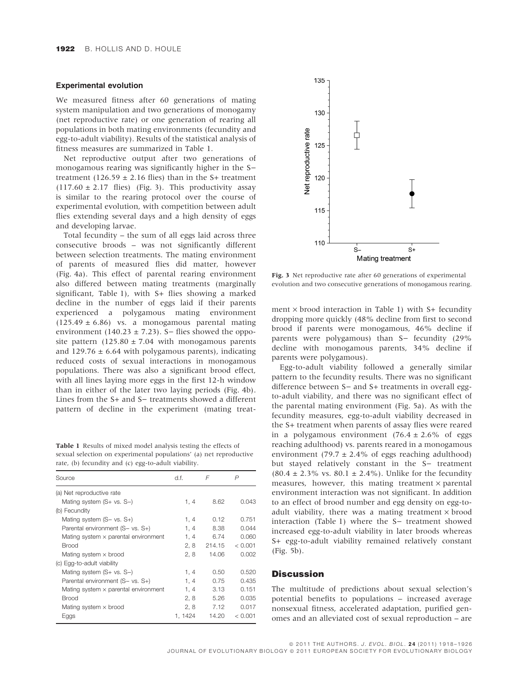#### Experimental evolution

We measured fitness after 60 generations of mating system manipulation and two generations of monogamy (net reproductive rate) or one generation of rearing all populations in both mating environments (fecundity and egg-to-adult viability). Results of the statistical analysis of fitness measures are summarized in Table 1.

Net reproductive output after two generations of monogamous rearing was significantly higher in the Streatment  $(126.59 \pm 2.16$  flies) than in the S+ treatment  $(117.60 \pm 2.17)$  flies) (Fig. 3). This productivity assay is similar to the rearing protocol over the course of experimental evolution, with competition between adult flies extending several days and a high density of eggs and developing larvae.

Total fecundity – the sum of all eggs laid across three consecutive broods – was not significantly different between selection treatments. The mating environment of parents of measured flies did matter, however (Fig. 4a). This effect of parental rearing environment also differed between mating treatments (marginally significant, Table 1), with S+ flies showing a marked decline in the number of eggs laid if their parents experienced a polygamous mating environment  $(125.49 \pm 6.86)$  vs. a monogamous parental mating environment (140.23  $\pm$  7.23). S- flies showed the opposite pattern  $(125.80 \pm 7.04 \text{ with monogamous parents})$ and  $129.76 \pm 6.64$  with polygamous parents), indicating reduced costs of sexual interactions in monogamous populations. There was also a significant brood effect, with all lines laying more eggs in the first 12-h window than in either of the later two laying periods (Fig. 4b). Lines from the  $S+$  and  $S-$  treatments showed a different pattern of decline in the experiment (mating treat-

Table 1 Results of mixed model analysis testing the effects of sexual selection on experimental populations' (a) net reproductive rate, (b) fecundity and (c) egg-to-adult viability.

| Source                                      | d.f.   | F      | P       |
|---------------------------------------------|--------|--------|---------|
| (a) Net reproductive rate                   |        |        |         |
| Mating system (S+ vs. S-)                   | 1.4    | 8.62   | 0.043   |
| (b) Fecundity                               |        |        |         |
| Mating system $(S - vs. S+)$                | 1.4    | 0.12   | 0.751   |
| Parental environment (S- vs. S+)            | 1.4    | 8.38   | 0.044   |
| Mating system $\times$ parental environment | 1.4    | 6.74   | 0.060   |
| <b>Brood</b>                                | 2.8    | 214.15 | < 0.001 |
| Mating system $\times$ brood                | 2, 8   | 14.06  | 0.002   |
| (c) Egg-to-adult viability                  |        |        |         |
| Mating system (S+ vs. S-)                   | 1, 4   | 0.50   | 0.520   |
| Parental environment (S- vs. S+)            | 1.4    | 0.75   | 0.435   |
| Mating system $\times$ parental environment | 1.4    | 3.13   | 0.151   |
| <b>Brood</b>                                | 2.8    | 5.26   | 0.035   |
| Mating system $\times$ brood                | 2.8    | 7.12   | 0.017   |
| Eggs                                        | 1.1424 | 14.20  | < 0.001 |



Fig. 3 Net reproductive rate after 60 generations of experimental evolution and two consecutive generations of monogamous rearing.

ment  $\times$  brood interaction in Table 1) with S+ fecundity dropping more quickly (48% decline from first to second brood if parents were monogamous, 46% decline if parents were polygamous) than  $S-$  fecundity (29%) decline with monogamous parents, 34% decline if parents were polygamous).

Egg-to-adult viability followed a generally similar pattern to the fecundity results. There was no significant difference between S- and S+ treatments in overall eggto-adult viability, and there was no significant effect of the parental mating environment (Fig. 5a). As with the fecundity measures, egg-to-adult viability decreased in the S+ treatment when parents of assay flies were reared in a polygamous environment  $(76.4 \pm 2.6\%$  of eggs reaching adulthood) vs. parents reared in a monogamous environment (79.7  $\pm$  2.4% of eggs reaching adulthood) but stayed relatively constant in the S- treatment  $(80.4 \pm 2.3\% \text{ vs. } 80.1 \pm 2.4\%)$ . Unlike for the fecundity measures, however, this mating treatment  $\times$  parental environment interaction was not significant. In addition to an effect of brood number and egg density on egg-toadult viability, there was a mating treatment  $\times$  brood interaction (Table 1) where the  $S-$  treatment showed increased egg-to-adult viability in later broods whereas S+ egg-to-adult viability remained relatively constant (Fig. 5b).

# **Discussion**

The multitude of predictions about sexual selection's potential benefits to populations – increased average nonsexual fitness, accelerated adaptation, purified genomes and an alleviated cost of sexual reproduction – are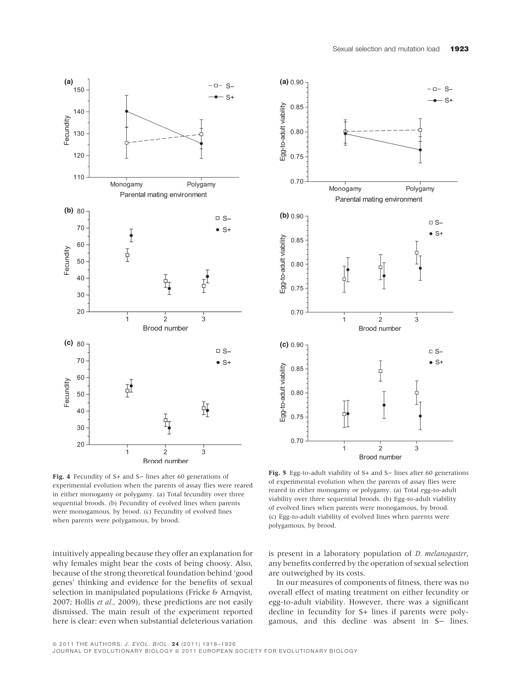

Fig. 4 Fecundity of  $S+$  and  $S-$  lines after 60 generations of experimental evolution when the parents of assay flies were reared in either monogamy or polygamy. (a) Total fecundity over three sequential broods. (b) Fecundity of evolved lines when parents were monogamous, by brood. (c) Fecundity of evolved lines when parents were polygamous, by brood.

intuitively appealing because they offer an explanation for why females might bear the costs of being choosy. Also, because of the strong theoretical foundation behind 'good genes' thinking and evidence for the benefits of sexual selection in manipulated populations (Fricke & Arnqvist, 2007; Hollis et al., 2009), these predictions are not easily dismissed. The main result of the experiment reported here is clear: even when substantial deleterious variation



Fig. 5 Egg-to-adult viability of  $S+$  and  $S-$  lines after 60 generations of experimental evolution when the parents of assay flies were reared in either monogamy or polygamy. (a) Total egg-to-adult viability over three sequential broods. (b) Egg-to-adult viability of evolved lines when parents were monogamous, by brood. (c) Egg-to-adult viability of evolved lines when parents were polygamous, by brood.

is present in a laboratory population of D. melanogaster, any benefits conferred by the operation of sexual selection are outweighed by its costs.

In our measures of components of fitness, there was no overall effect of mating treatment on either fecundity or egg-to-adult viability. However, there was a significant decline in fecundity for S+ lines if parents were polygamous, and this decline was absent in S- lines.

ª 2011 THE AUTHORS. J. EVOL. BIOL. 2 4 (2011) 1918–1926

JOURNAL OF EVOLUTIONARY BIOLOGY @ 2011 EUROPEAN SOCIETY FOR EVOLUTIONARY BIOLOGY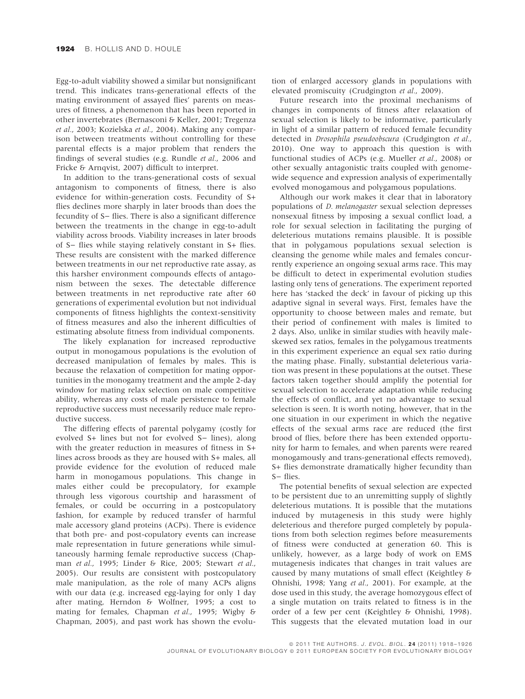Egg-to-adult viability showed a similar but nonsignificant trend. This indicates trans-generational effects of the mating environment of assayed flies' parents on measures of fitness, a phenomenon that has been reported in other invertebrates (Bernasconi & Keller, 2001; Tregenza et al., 2003; Kozielska et al., 2004). Making any comparison between treatments without controlling for these parental effects is a major problem that renders the findings of several studies (e.g. Rundle et al., 2006 and Fricke & Arnqvist, 2007) difficult to interpret.

In addition to the trans-generational costs of sexual antagonism to components of fitness, there is also evidence for within-generation costs. Fecundity of S+ flies declines more sharply in later broods than does the fecundity of S- flies. There is also a significant difference between the treatments in the change in egg-to-adult viability across broods. Viability increases in later broods of S– flies while staying relatively constant in S+ flies. These results are consistent with the marked difference between treatments in our net reproductive rate assay, as this harsher environment compounds effects of antagonism between the sexes. The detectable difference between treatments in net reproductive rate after 60 generations of experimental evolution but not individual components of fitness highlights the context-sensitivity of fitness measures and also the inherent difficulties of estimating absolute fitness from individual components.

The likely explanation for increased reproductive output in monogamous populations is the evolution of decreased manipulation of females by males. This is because the relaxation of competition for mating opportunities in the monogamy treatment and the ample 2-day window for mating relax selection on male competitive ability, whereas any costs of male persistence to female reproductive success must necessarily reduce male reproductive success.

The differing effects of parental polygamy (costly for evolved S+ lines but not for evolved S- lines), along with the greater reduction in measures of fitness in S+ lines across broods as they are housed with S+ males, all provide evidence for the evolution of reduced male harm in monogamous populations. This change in males either could be precopulatory, for example through less vigorous courtship and harassment of females, or could be occurring in a postcopulatory fashion, for example by reduced transfer of harmful male accessory gland proteins (ACPs). There is evidence that both pre- and post-copulatory events can increase male representation in future generations while simultaneously harming female reproductive success (Chapman et al., 1995; Linder & Rice, 2005; Stewart et al., 2005). Our results are consistent with postcopulatory male manipulation, as the role of many ACPs aligns with our data (e.g. increased egg-laying for only 1 day after mating, Herndon & Wolfner, 1995; a cost to mating for females, Chapman et al., 1995; Wigby & Chapman, 2005), and past work has shown the evolution of enlarged accessory glands in populations with elevated promiscuity (Crudgington et al., 2009).

Future research into the proximal mechanisms of changes in components of fitness after relaxation of sexual selection is likely to be informative, particularly in light of a similar pattern of reduced female fecundity detected in Drosophila pseudoobscura (Crudgington et al., 2010). One way to approach this question is with functional studies of ACPs (e.g. Mueller et al., 2008) or other sexually antagonistic traits coupled with genomewide sequence and expression analysis of experimentally evolved monogamous and polygamous populations.

Although our work makes it clear that in laboratory populations of D. melanogaster sexual selection depresses nonsexual fitness by imposing a sexual conflict load, a role for sexual selection in facilitating the purging of deleterious mutations remains plausible. It is possible that in polygamous populations sexual selection is cleansing the genome while males and females concurrently experience an ongoing sexual arms race. This may be difficult to detect in experimental evolution studies lasting only tens of generations. The experiment reported here has 'stacked the deck' in favour of picking up this adaptive signal in several ways. First, females have the opportunity to choose between males and remate, but their period of confinement with males is limited to 2 days. Also, unlike in similar studies with heavily maleskewed sex ratios, females in the polygamous treatments in this experiment experience an equal sex ratio during the mating phase. Finally, substantial deleterious variation was present in these populations at the outset. These factors taken together should amplify the potential for sexual selection to accelerate adaptation while reducing the effects of conflict, and yet no advantage to sexual selection is seen. It is worth noting, however, that in the one situation in our experiment in which the negative effects of the sexual arms race are reduced (the first brood of flies, before there has been extended opportunity for harm to females, and when parents were reared monogamously and trans-generational effects removed), S+ flies demonstrate dramatically higher fecundity than S-flies.

The potential benefits of sexual selection are expected to be persistent due to an unremitting supply of slightly deleterious mutations. It is possible that the mutations induced by mutagenesis in this study were highly deleterious and therefore purged completely by populations from both selection regimes before measurements of fitness were conducted at generation 60. This is unlikely, however, as a large body of work on EMS mutagenesis indicates that changes in trait values are caused by many mutations of small effect (Keightley & Ohnishi, 1998; Yang et al., 2001). For example, at the dose used in this study, the average homozygous effect of a single mutation on traits related to fitness is in the order of a few per cent (Keightley & Ohnishi, 1998). This suggests that the elevated mutation load in our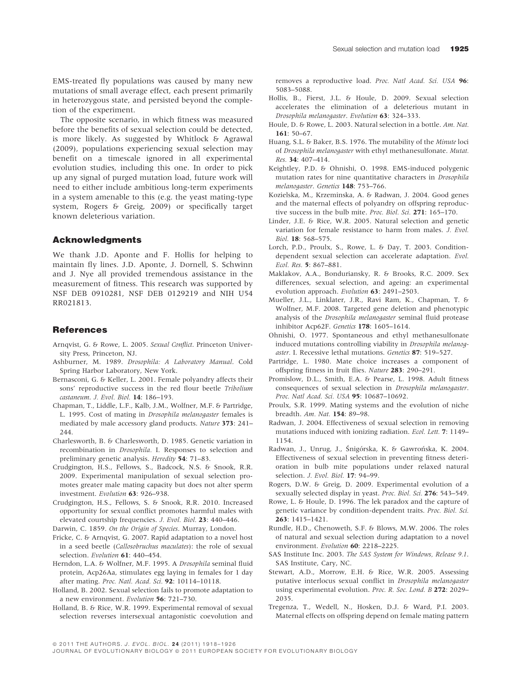EMS-treated fly populations was caused by many new mutations of small average effect, each present primarily in heterozygous state, and persisted beyond the completion of the experiment.

The opposite scenario, in which fitness was measured before the benefits of sexual selection could be detected, is more likely. As suggested by Whitlock & Agrawal (2009), populations experiencing sexual selection may benefit on a timescale ignored in all experimental evolution studies, including this one. In order to pick up any signal of purged mutation load, future work will need to either include ambitious long-term experiments in a system amenable to this (e.g. the yeast mating-type system, Rogers & Greig, 2009) or specifically target known deleterious variation.

#### Acknowledgments

We thank J.D. Aponte and F. Hollis for helping to maintain fly lines. J.D. Aponte, J. Dornell, S. Schwinn and J. Nye all provided tremendous assistance in the measurement of fitness. This research was supported by NSF DEB 0910281, NSF DEB 0129219 and NIH U54 RR021813.

## **References**

- Arnqvist, G. & Rowe, L. 2005. Sexual Conflict. Princeton University Press, Princeton, NJ.
- Ashburner, M. 1989. Drosophila: A Laboratory Manual. Cold Spring Harbor Laboratory, New York.
- Bernasconi, G. & Keller, L. 2001. Female polyandry affects their sons' reproductive success in the red flour beetle Tribolium castaneum. J. Evol. Biol. 14: 186–193.
- Chapman, T., Liddle, L.F., Kalb, J.M., Wolfner, M.F. & Partridge, L. 1995. Cost of mating in Drosophila melanogaster females is mediated by male accessory gland products. Nature 373: 241– 244
- Charlesworth, B. & Charlesworth, D. 1985. Genetic variation in recombination in Drosophila. I. Responses to selection and preliminary genetic analysis. Heredity 54: 71–83.
- Crudgington, H.S., Fellows, S., Badcock, N.S. & Snook, R.R. 2009. Experimental manipulation of sexual selection promotes greater male mating capacity but does not alter sperm investment. Evolution 63: 926–938.
- Crudgington, H.S., Fellows, S. & Snook, R.R. 2010. Increased opportunity for sexual conflict promotes harmful males with elevated courtship frequencies. J. Evol. Biol. 23: 440–446.

Darwin, C. 1859. On the Origin of Species. Murray, London.

- Fricke, C. & Arnqvist, G. 2007. Rapid adaptation to a novel host in a seed beetle (Callosobruchus maculates): the role of sexual selection. Evolution 61: 440-454.
- Herndon, L.A. & Wolfner, M.F. 1995. A Drosophila seminal fluid protein, Acp26Aa, stimulates egg laying in females for 1 day after mating. Proc. Natl. Acad. Sci. 92: 10114–10118.
- Holland, B. 2002. Sexual selection fails to promote adaptation to a new environment. Evolution 56: 721–730.
- Holland, B. & Rice, W.R. 1999. Experimental removal of sexual selection reverses intersexual antagonistic coevolution and

removes a reproductive load. Proc. Natl Acad. Sci. USA 96: 5083–5088.

- Hollis, B., Fierst, J.L. & Houle, D. 2009. Sexual selection accelerates the elimination of a deleterious mutant in Drosophila melanogaster. Evolution 63: 324–333.
- Houle, D. & Rowe, L. 2003. Natural selection in a bottle. Am. Nat.  $161: 50-67.$
- Huang, S.L. & Baker, B.S. 1976. The mutability of the Minute loci of Drosophila melanogaster with ethyl methanesulfonate. Mutat. Res. 34: 407–414.
- Keightley, P.D. & Ohnishi, O. 1998. EMS-induced polygenic mutation rates for nine quantitative characters in Drosophila melanogaster. Genetics 148: 753-766.
- Kozielska, M., Krzeminska, A. & Radwan, J. 2004. Good genes and the maternal effects of polyandry on offspring reproductive success in the bulb mite. Proc. Biol. Sci. 271: 165-170.
- Linder, J.E. & Rice, W.R. 2005. Natural selection and genetic variation for female resistance to harm from males. J. Evol. Biol. 18: 568–575.
- Lorch, P.D., Proulx, S., Rowe, L. & Day, T. 2003. Conditiondependent sexual selection can accelerate adaptation. Evol. Ecol. Res. 5: 867–881.
- Maklakov, A.A., Bonduriansky, R. & Brooks, R.C. 2009. Sex differences, sexual selection, and ageing: an experimental evolution approach. Evolution 63: 2491–2503.
- Mueller, J.L., Linklater, J.R., Ravi Ram, K., Chapman, T. & Wolfner, M.F. 2008. Targeted gene deletion and phenotypic analysis of the Drosophila melanogaster seminal fluid protease inhibitor Acp62F. Genetics 178: 1605–1614.
- Ohnishi, O. 1977. Spontaneous and ethyl methanesulfonate induced mutations controlling viability in Drosophila melanogaster. I. Recessive lethal mutations. Genetics 87: 519–527.
- Partridge, L. 1980. Mate choice increases a component of offspring fitness in fruit flies. Nature 283: 290–291.
- Promislow, D.L., Smith, E.A. & Pearse, L. 1998. Adult fitness consequences of sexual selection in Drosophila melanogaster. Proc. Natl Acad. Sci. USA 95: 10687–10692.
- Proulx, S.R. 1999. Mating systems and the evolution of niche breadth. Am. Nat. 154: 89–98.
- Radwan, J. 2004. Effectiveness of sexual selection in removing mutations induced with ionizing radiation. Ecol. Lett. 7: 1149– 1154.
- Radwan, J., Unrug, J., Śnigórska, K. & Gawrońska, K. 2004. Effectiveness of sexual selection in preventing fitness deterioration in bulb mite populations under relaxed natural selection. J. Evol. Biol. 17: 94–99.
- Rogers, D.W. & Greig, D. 2009. Experimental evolution of a sexually selected display in yeast. Proc. Biol. Sci. 276: 543-549.
- Rowe, L. & Houle, D. 1996. The lek paradox and the capture of genetic variance by condition-dependent traits. Proc. Biol. Sci. 263: 1415–1421.
- Rundle, H.D., Chenoweth, S.F. & Blows, M.W. 2006. The roles of natural and sexual selection during adaptation to a novel environment. Evolution 60: 2218–2225.
- SAS Institute Inc. 2003. The SAS System for Windows, Release 9.1. SAS Institute, Cary, NC.
- Stewart, A.D., Morrow, E.H. & Rice, W.R. 2005. Assessing putative interlocus sexual conflict in Drosophila melanogaster using experimental evolution. Proc. R. Soc. Lond. B 272: 2029– 2035.
- Tregenza, T., Wedell, N., Hosken, D.J. & Ward, P.I. 2003. Maternal effects on offspring depend on female mating pattern

ª 2011 THE AUTHORS. J. EVOL. BIOL. 2 4 (2011) 1918–1926

JOURNAL OF EVOLUTIONARY BIOLOGY @ 2011 EUROPEAN SOCIETY FOR EVOLUTIONARY BIOLOGY